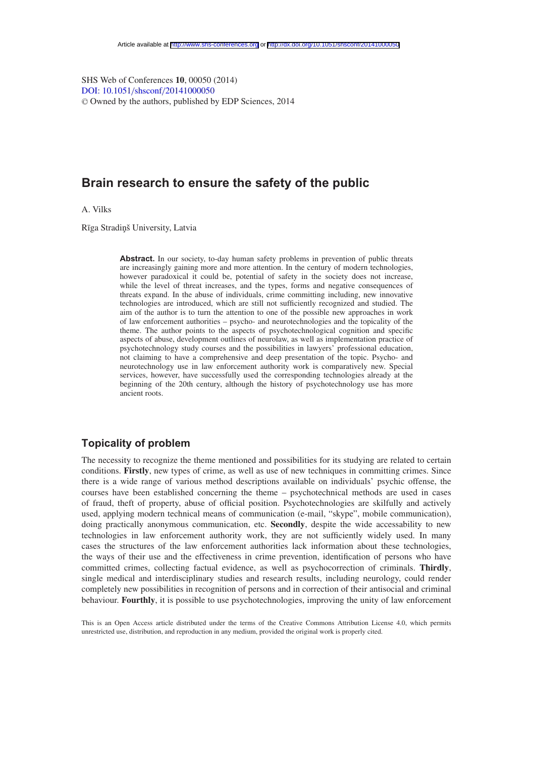SHS Web of Conferences **10**, 00050 (2014) [DOI: 10.1051](http://dx.doi.org/10.1051/shsconf/20141000050)/shsconf/20141000050 <sup>C</sup> Owned by the authors, published by EDP Sciences, 2014

# **Brain research to ensure the safety of the public**

A. Vilks

Rīga Stradiņš University, Latvia

Abstract. In our society, to-day human safety problems in prevention of public threats are increasingly gaining more and more attention. In the century of modern technologies, however paradoxical it could be, potential of safety in the society does not increase, while the level of threat increases, and the types, forms and negative consequences of threats expand. In the abuse of individuals, crime committing including, new innovative technologies are introduced, which are still not sufficiently recognized and studied. The aim of the author is to turn the attention to one of the possible new approaches in work of law enforcement authorities – psycho- and neurotechnologies and the topicality of the theme. The author points to the aspects of psychotechnological cognition and specific aspects of abuse, development outlines of neurolaw, as well as implementation practice of psychotechnology study courses and the possibilities in lawyers' professional education, not claiming to have a comprehensive and deep presentation of the topic. Psycho- and neurotechnology use in law enforcement authority work is comparatively new. Special services, however, have successfully used the corresponding technologies already at the beginning of the 20th century, although the history of psychotechnology use has more ancient roots.

## **Topicality of problem**

The necessity to recognize the theme mentioned and possibilities for its studying are related to certain conditions. **Firstly**, new types of crime, as well as use of new techniques in committing crimes. Since there is a wide range of various method descriptions available on individuals' psychic offense, the courses have been established concerning the theme – psychotechnical methods are used in cases of fraud, theft of property, abuse of official position. Psychotechnologies are skilfully and actively used, applying modern technical means of communication (e-mail, "skype", mobile communication), doing practically anonymous communication, etc. **Secondly**, despite the wide accessability to new technologies in law enforcement authority work, they are not sufficiently widely used. In many cases the structures of the law enforcement authorities lack information about these technologies, the ways of their use and the effectiveness in crime prevention, identification of persons who have committed crimes, collecting factual evidence, as well as psychocorrection of criminals. **Thirdly**, single medical and interdisciplinary studies and research results, including neurology, could render completely new possibilities in recognition of persons and in correction of their antisocial and criminal behaviour. **Fourthly**, it is possible to use psychotechnologies, improving the unity of law enforcement

This is an Open Access article distributed under the terms of the Creative Commons Attribution License 4.0, which permits unrestricted use, distribution, and reproduction in any medium, provided the original work is properly cited.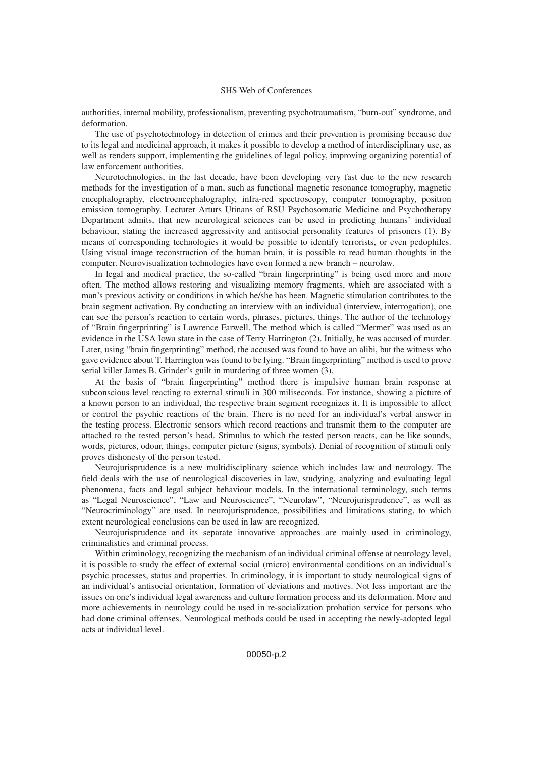#### SHS Web of Conferences

authorities, internal mobility, professionalism, preventing psychotraumatism, "burn-out" syndrome, and deformation.

The use of psychotechnology in detection of crimes and their prevention is promising because due to its legal and medicinal approach, it makes it possible to develop a method of interdisciplinary use, as well as renders support, implementing the guidelines of legal policy, improving organizing potential of law enforcement authorities.

Neurotechnologies, in the last decade, have been developing very fast due to the new research methods for the investigation of a man, such as functional magnetic resonance tomography, magnetic encephalography, electroencephalography, infra-red spectroscopy, computer tomography, positron emission tomography. Lecturer Arturs Utinans of RSU Psychosomatic Medicine and Psychotherapy Department admits, that new neurological sciences can be used in predicting humans' individual behaviour, stating the increased aggressivity and antisocial personality features of prisoners (1). By means of corresponding technologies it would be possible to identify terrorists, or even pedophiles. Using visual image reconstruction of the human brain, it is possible to read human thoughts in the computer. Neurovisualization technologies have even formed a new branch – neurolaw.

In legal and medical practice, the so-called "brain fingerprinting" is being used more and more often. The method allows restoring and visualizing memory fragments, which are associated with a man's previous activity or conditions in which he/she has been. Magnetic stimulation contributes to the brain segment activation. By conducting an interview with an individual (interview, interrogation), one can see the person's reaction to certain words, phrases, pictures, things. The author of the technology of "Brain fingerprinting" is Lawrence Farwell. The method which is called "Mermer" was used as an evidence in the USA Iowa state in the case of Terry Harrington (2). Initially, he was accused of murder. Later, using "brain fingerprinting" method, the accused was found to have an alibi, but the witness who gave evidence about T. Harrington was found to be lying. "Brain fingerprinting" method is used to prove serial killer James B. Grinder's guilt in murdering of three women (3).

At the basis of "brain fingerprinting" method there is impulsive human brain response at subconscious level reacting to external stimuli in 300 miliseconds. For instance, showing a picture of a known person to an individual, the respective brain segment recognizes it. It is impossible to affect or control the psychic reactions of the brain. There is no need for an individual's verbal answer in the testing process. Electronic sensors which record reactions and transmit them to the computer are attached to the tested person's head. Stimulus to which the tested person reacts, can be like sounds, words, pictures, odour, things, computer picture (signs, symbols). Denial of recognition of stimuli only proves dishonesty of the person tested.

Neurojurisprudence is a new multidisciplinary science which includes law and neurology. The field deals with the use of neurological discoveries in law, studying, analyzing and evaluating legal phenomena, facts and legal subject behaviour models. In the international terminology, such terms as "Legal Neuroscience", "Law and Neuroscience", "Neurolaw", "Neurojurisprudence", as well as "Neurocriminology" are used. In neurojurisprudence, possibilities and limitations stating, to which extent neurological conclusions can be used in law are recognized.

Neurojurisprudence and its separate innovative approaches are mainly used in criminology, criminalistics and criminal process.

Within criminology, recognizing the mechanism of an individual criminal offense at neurology level, it is possible to study the effect of external social (micro) environmental conditions on an individual's psychic processes, status and properties. In criminology, it is important to study neurological signs of an individual's antisocial orientation, formation of deviations and motives. Not less important are the issues on one's individual legal awareness and culture formation process and its deformation. More and more achievements in neurology could be used in re-socialization probation service for persons who had done criminal offenses. Neurological methods could be used in accepting the newly-adopted legal acts at individual level.

00050-p.2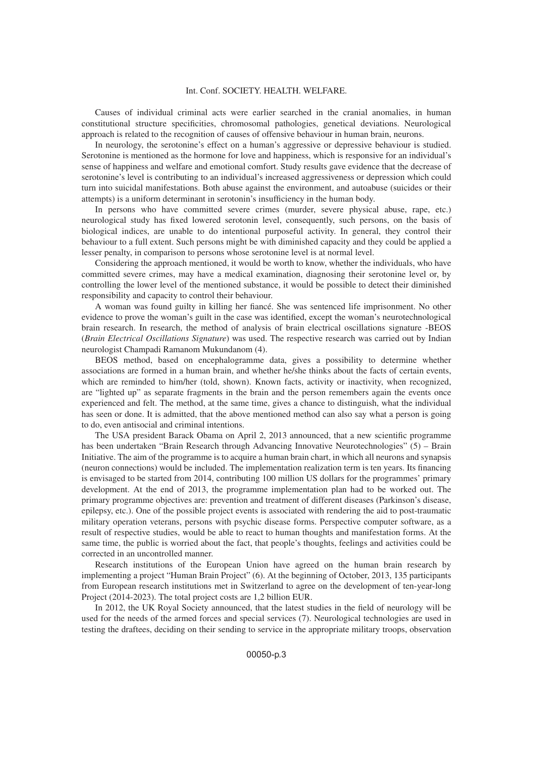#### Int. Conf. SOCIETY. HEALTH. WELFARE.

Causes of individual criminal acts were earlier searched in the cranial anomalies, in human constitutional structure specificities, chromosomal pathologies, genetical deviations. Neurological approach is related to the recognition of causes of offensive behaviour in human brain, neurons.

In neurology, the serotonine's effect on a human's aggressive or depressive behaviour is studied. Serotonine is mentioned as the hormone for love and happiness, which is responsive for an individual's sense of happiness and welfare and emotional comfort. Study results gave evidence that the decrease of serotonine's level is contributing to an individual's increased aggressiveness or depression which could turn into suicidal manifestations. Both abuse against the environment, and autoabuse (suicides or their attempts) is a uniform determinant in serotonin's insufficiency in the human body.

In persons who have committed severe crimes (murder, severe physical abuse, rape, etc.) neurological study has fixed lowered serotonin level, consequently, such persons, on the basis of biological indices, are unable to do intentional purposeful activity. In general, they control their behaviour to a full extent. Such persons might be with diminished capacity and they could be applied a lesser penalty, in comparison to persons whose serotonine level is at normal level.

Considering the approach mentioned, it would be worth to know, whether the individuals, who have committed severe crimes, may have a medical examination, diagnosing their serotonine level or, by controlling the lower level of the mentioned substance, it would be possible to detect their diminished responsibility and capacity to control their behaviour.

A woman was found guilty in killing her fiancé. She was sentenced life imprisonment. No other evidence to prove the woman's guilt in the case was identified, except the woman's neurotechnological brain research. In research, the method of analysis of brain electrical oscillations signature -BEOS (*Brain Electrical Oscillations Signature*) was used. The respective research was carried out by Indian neurologist Champadi Ramanom Mukundanom (4).

BEOS method, based on encephalogramme data, gives a possibility to determine whether associations are formed in a human brain, and whether he/she thinks about the facts of certain events, which are reminded to him/her (told, shown). Known facts, activity or inactivity, when recognized, are "lighted up" as separate fragments in the brain and the person remembers again the events once experienced and felt. The method, at the same time, gives a chance to distinguish, what the individual has seen or done. It is admitted, that the above mentioned method can also say what a person is going to do, even antisocial and criminal intentions.

The USA president Barack Obama on April 2, 2013 announced, that a new scientific programme has been undertaken "Brain Research through Advancing Innovative Neurotechnologies" (5) – Brain Initiative. The aim of the programme is to acquire a human brain chart, in which all neurons and synapsis (neuron connections) would be included. The implementation realization term is ten years. Its financing is envisaged to be started from 2014, contributing 100 million US dollars for the programmes' primary development. At the end of 2013, the programme implementation plan had to be worked out. The primary programme objectives are: prevention and treatment of different diseases (Parkinson's disease, epilepsy, etc.). One of the possible project events is associated with rendering the aid to post-traumatic military operation veterans, persons with psychic disease forms. Perspective computer software, as a result of respective studies, would be able to react to human thoughts and manifestation forms. At the same time, the public is worried about the fact, that people's thoughts, feelings and activities could be corrected in an uncontrolled manner.

Research institutions of the European Union have agreed on the human brain research by implementing a project "Human Brain Project" (6). At the beginning of October, 2013, 135 participants from European research institutions met in Switzerland to agree on the development of ten-year-long Project (2014-2023). The total project costs are 1,2 billion EUR.

In 2012, the UK Royal Society announced, that the latest studies in the field of neurology will be used for the needs of the armed forces and special services (7). Neurological technologies are used in testing the draftees, deciding on their sending to service in the appropriate military troops, observation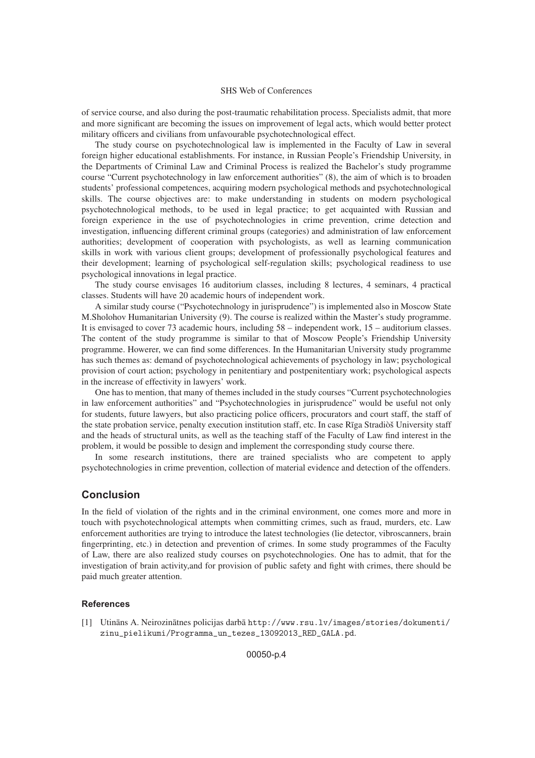#### SHS Web of Conferences

of service course, and also during the post-traumatic rehabilitation process. Specialists admit, that more and more significant are becoming the issues on improvement of legal acts, which would better protect military officers and civilians from unfavourable psychotechnological effect.

The study course on psychotechnological law is implemented in the Faculty of Law in several foreign higher educational establishments. For instance, in Russian People's Friendship University, in the Departments of Criminal Law and Criminal Process is realized the Bachelor's study programme course "Current psychotechnology in law enforcement authorities" (8), the aim of which is to broaden students' professional competences, acquiring modern psychological methods and psychotechnological skills. The course objectives are: to make understanding in students on modern psychological psychotechnological methods, to be used in legal practice; to get acquainted with Russian and foreign experience in the use of psychotechnologies in crime prevention, crime detection and investigation, influencing different criminal groups (categories) and administration of law enforcement authorities; development of cooperation with psychologists, as well as learning communication skills in work with various client groups; development of professionally psychological features and their development; learning of psychological self-regulation skills; psychological readiness to use psychological innovations in legal practice.

The study course envisages 16 auditorium classes, including 8 lectures, 4 seminars, 4 practical classes. Students will have 20 academic hours of independent work.

A similar study course ("Psychotechnology in jurisprudence") is implemented also in Moscow State M.Sholohov Humanitarian University (9). The course is realized within the Master's study programme. It is envisaged to cover 73 academic hours, including 58 – independent work, 15 – auditorium classes. The content of the study programme is similar to that of Moscow People's Friendship University programme. Howerer, we can find some differences. In the Humanitarian University study programme has such themes as: demand of psychotechnological achievements of psychology in law; psychological provision of court action; psychology in penitentiary and postpenitentiary work; psychological aspects in the increase of effectivity in lawyers' work.

One has to mention, that many of themes included in the study courses "Current psychotechnologies in law enforcement authorities" and "Psychotechnologies in jurisprudence" would be useful not only for students, future lawyers, but also practicing police officers, procurators and court staff, the staff of the state probation service, penalty execution institution staff, etc. In case Rīga Stradiòš University staff and the heads of structural units, as well as the teaching staff of the Faculty of Law find interest in the problem, it would be possible to design and implement the corresponding study course there.

In some research institutions, there are trained specialists who are competent to apply psychotechnologies in crime prevention, collection of material evidence and detection of the offenders.

### **Conclusion**

In the field of violation of the rights and in the criminal environment, one comes more and more in touch with psychotechnological attempts when committing crimes, such as fraud, murders, etc. Law enforcement authorities are trying to introduce the latest technologies (lie detector, vibroscanners, brain fingerprinting, etc.) in detection and prevention of crimes. In some study programmes of the Faculty of Law, there are also realized study courses on psychotechnologies. One has to admit, that for the investigation of brain activity,and for provision of public safety and fight with crimes, there should be paid much greater attention.

### **References**

[1] Utinans A. Neirozinātnes policijas darbā http://www.rsu.lv/images/stories/dokumenti/ zinu\_pielikumi/Programma\_un\_tezes\_13092013\_RED\_GALA.pd.

00050-p.4